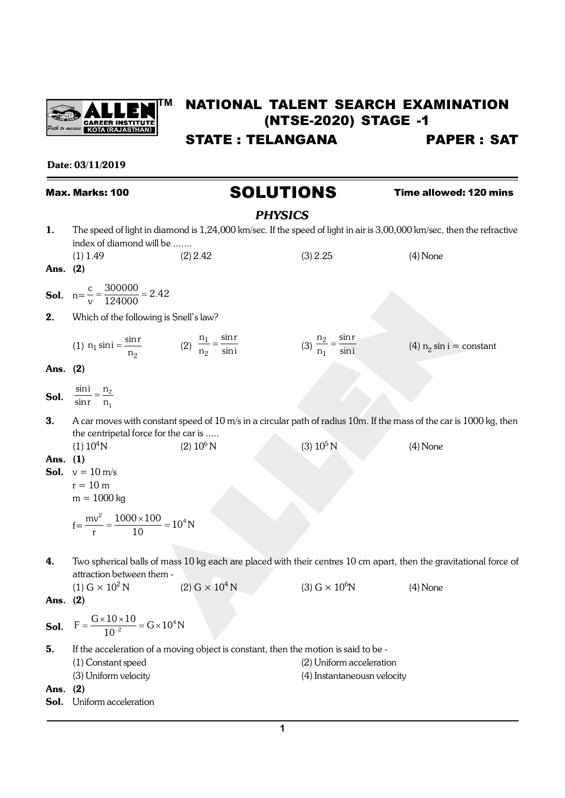

# **TM** NATIONAL TALENT SEARCH EXAMINATION (NTSE-2020) STAGE -1

STATE : TELANGANA PAPER : SAT

Date: 03/11/2019

Max. Marks: 100 **SOLUTIONS** Time allowed: 120 mins

## *PHYSICS*

| 1.         | The speed of light in diamond is 1,24,000 km/sec. If the speed of light in air is 3,00,000 km/sec, then the refractive<br>index of diamond will be |                                                                                                                     |                                                         |                             |  |
|------------|----------------------------------------------------------------------------------------------------------------------------------------------------|---------------------------------------------------------------------------------------------------------------------|---------------------------------------------------------|-----------------------------|--|
| Ans. (2)   | $(1)$ 1.49                                                                                                                                         | $(2)$ 2.42                                                                                                          | (3) 2.25                                                | $(4)$ None                  |  |
|            | <b>Sol.</b> $n = \frac{c}{v} = \frac{300000}{124000} = 2.42$                                                                                       |                                                                                                                     |                                                         |                             |  |
| 2.         | Which of the following is Snell's law?                                                                                                             |                                                                                                                     |                                                         |                             |  |
|            | (1) $n_1 \sin i = \frac{\sin r}{n_2}$ (2) $\frac{n_1}{n_2} = \frac{\sin r}{\sin i}$                                                                |                                                                                                                     | (3) $\frac{n_2}{n_1} = \frac{\sin r}{\sin i}$           | (4) $n_2 \sin i = constant$ |  |
| Ans. $(2)$ |                                                                                                                                                    |                                                                                                                     |                                                         |                             |  |
|            | <b>Sol.</b> $\frac{\sin i}{\sin r} = \frac{n_2}{n_1}$                                                                                              |                                                                                                                     |                                                         |                             |  |
| 3.         |                                                                                                                                                    | A car moves with constant speed of 10 m/s in a circular path of radius 10m. If the mass of the car is 1000 kg, then |                                                         |                             |  |
| Ans. (1)   | the centripetal force for the car is<br>(1) 10 <sup>4</sup> N<br><b>Sol.</b> $v = 10 \text{ m/s}$<br>$r = 10$ m<br>$m = 1000$ kg                   | $(2) 10^6$ N                                                                                                        | (3) $10^5$ N                                            | $(4)$ None                  |  |
|            | $f = \frac{mv^2}{r} = \frac{1000 \times 100}{10} = 10^4 N$                                                                                         |                                                                                                                     |                                                         |                             |  |
| 4.         | attraction between them -                                                                                                                          | Two spherical balls of mass 10 kg each are placed with their centres 10 cm apart, then the gravitational force of   |                                                         |                             |  |
| Ans. (2)   | $(1) G \times 10^2 N$                                                                                                                              | (2) G $\times$ $10^4$ N                                                                                             | $(3)$ G $\times$ 10 <sup>6</sup> N                      | $(4)$ None                  |  |
|            | <b>Sol.</b> $F = \frac{G \times 10 \times 10}{10^{-2}} = G \times 10^4 N$                                                                          |                                                                                                                     |                                                         |                             |  |
| 5.<br>Ans. | (1) Constant speed<br>(3) Uniform velocity<br>(2)                                                                                                  | If the acceleration of a moving object is constant, then the motion is said to be -                                 | (2) Uniform acceleration<br>(4) Instantaneousn velocity |                             |  |
| Sol.       | Uniform acceleration                                                                                                                               |                                                                                                                     |                                                         |                             |  |
|            |                                                                                                                                                    |                                                                                                                     |                                                         |                             |  |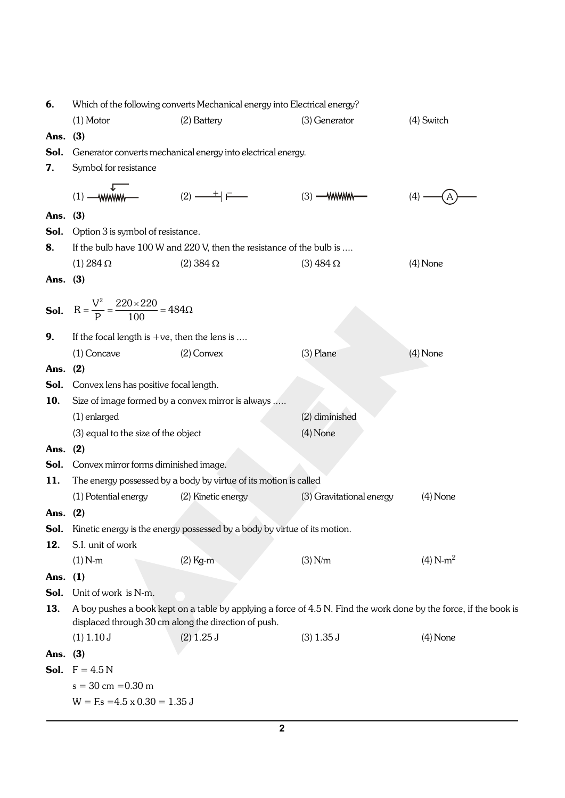| 6.          | Which of the following converts Mechanical energy into Electrical energy? |                                                                                                                   |                          |            |  |  |
|-------------|---------------------------------------------------------------------------|-------------------------------------------------------------------------------------------------------------------|--------------------------|------------|--|--|
|             | $(1)$ Motor                                                               | (2) Battery                                                                                                       | (3) Generator            | (4) Switch |  |  |
| Ans.        | (3)                                                                       |                                                                                                                   |                          |            |  |  |
| Sol.        |                                                                           | Generator converts mechanical energy into electrical energy.                                                      |                          |            |  |  |
| 7.          | Symbol for resistance                                                     |                                                                                                                   |                          |            |  |  |
|             |                                                                           |                                                                                                                   |                          |            |  |  |
|             | wwww-<br>(1)                                                              | $(2) \longrightarrow F$                                                                                           | $(3)$ --- WWWW---        | (4)        |  |  |
| Ans.        | (3)                                                                       |                                                                                                                   |                          |            |  |  |
| Sol.        | Option 3 is symbol of resistance.                                         |                                                                                                                   |                          |            |  |  |
| 8.          |                                                                           | If the bulb have 100 W and 220 V, then the resistance of the bulb is                                              |                          |            |  |  |
|             | $(1) 284 \Omega$                                                          | $(2)$ 384 $\Omega$                                                                                                | $(3)$ 484 $\Omega$       | $(4)$ None |  |  |
| Ans. $(3)$  |                                                                           |                                                                                                                   |                          |            |  |  |
|             |                                                                           |                                                                                                                   |                          |            |  |  |
|             | <b>Sol.</b> $R = \frac{V^2}{P} = \frac{220 \times 220}{100} = 484\Omega$  |                                                                                                                   |                          |            |  |  |
|             |                                                                           |                                                                                                                   |                          |            |  |  |
| 9.          | If the focal length is $+ve$ , then the lens is                           |                                                                                                                   |                          |            |  |  |
|             | $(1)$ Concave                                                             | $(2)$ Convex                                                                                                      | $(3)$ Plane              | $(4)$ None |  |  |
| Ans.        | (2)                                                                       |                                                                                                                   |                          |            |  |  |
| Sol.        | Convex lens has positive focal length.                                    |                                                                                                                   |                          |            |  |  |
| 10.         |                                                                           | Size of image formed by a convex mirror is always                                                                 |                          |            |  |  |
|             | (2) diminished<br>$(1)$ enlarged                                          |                                                                                                                   |                          |            |  |  |
|             | (3) equal to the size of the object                                       |                                                                                                                   | $(4)$ None               |            |  |  |
| Ans.        | (2)                                                                       |                                                                                                                   |                          |            |  |  |
| Sol.        | Convex mirror forms diminished image.                                     |                                                                                                                   |                          |            |  |  |
| 11.         |                                                                           | The energy possessed by a body by virtue of its motion is called                                                  |                          |            |  |  |
|             | (1) Potential energy                                                      | (2) Kinetic energy                                                                                                | (3) Gravitational energy | $(4)$ None |  |  |
| Ans.        | (2)                                                                       |                                                                                                                   |                          |            |  |  |
| Sol.<br>12. | S.I. unit of work                                                         | Kinetic energy is the energy possessed by a body by virtue of its motion.                                         |                          |            |  |  |
|             | $(1) N-m$                                                                 | $(2)$ Kg-m                                                                                                        | (3) N/m                  | $(4) N-m2$ |  |  |
| Ans. $(1)$  |                                                                           |                                                                                                                   |                          |            |  |  |
| Sol.        | Unit of work is N-m.                                                      |                                                                                                                   |                          |            |  |  |
| 13.         |                                                                           | A boy pushes a book kept on a table by applying a force of 4.5 N. Find the work done by the force, if the book is |                          |            |  |  |
|             |                                                                           | displaced through 30 cm along the direction of push.                                                              |                          |            |  |  |
|             | $(1)$ 1.10 J                                                              | $(2)$ 1.25 J                                                                                                      | $(3)$ 1.35 J             | $(4)$ None |  |  |
| Ans. (3)    |                                                                           |                                                                                                                   |                          |            |  |  |
|             | <b>Sol.</b> $F = 4.5 N$                                                   |                                                                                                                   |                          |            |  |  |
|             | $s = 30$ cm = 0.30 m                                                      |                                                                                                                   |                          |            |  |  |
|             | $W = F$ : $s = 4.5 \times 0.30 = 1.35 \text{ J}$                          |                                                                                                                   |                          |            |  |  |
|             |                                                                           |                                                                                                                   |                          |            |  |  |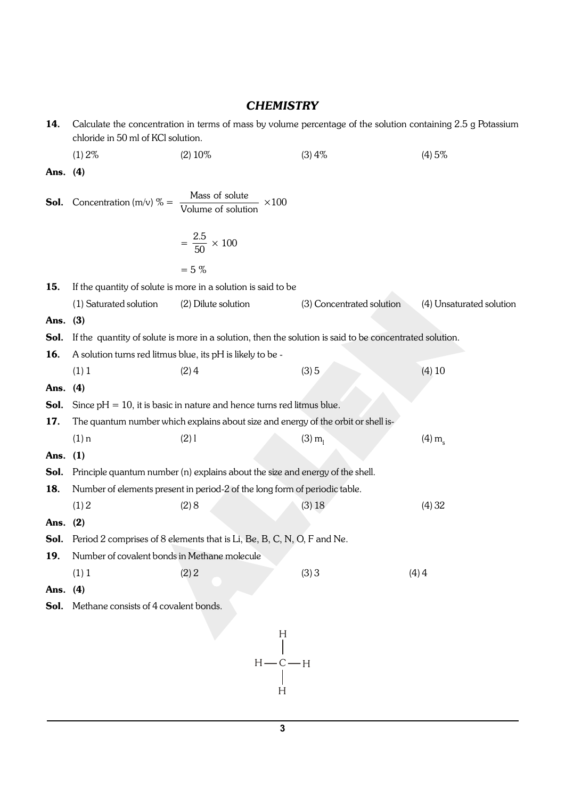| 14.      | Calculate the concentration in terms of mass by volume percentage of the solution containing 2.5 g Potassium<br>chloride in 50 ml of KCl solution. |                                                                                                         |                           |                          |
|----------|----------------------------------------------------------------------------------------------------------------------------------------------------|---------------------------------------------------------------------------------------------------------|---------------------------|--------------------------|
|          | (1) 2%                                                                                                                                             | $(2) 10\%$                                                                                              | (3)4%                     | (4)5%                    |
| Ans.     | (4)                                                                                                                                                |                                                                                                         |                           |                          |
|          | <b>Sol.</b> Concentration (m/v) $% = \frac{Mass \space of \space solute}{Volume \space of \space solution}$                                        | $\times 100$                                                                                            |                           |                          |
|          |                                                                                                                                                    | $=\frac{2.5}{50} \times 100$                                                                            |                           |                          |
|          |                                                                                                                                                    | $= 5 \%$                                                                                                |                           |                          |
| 15.      |                                                                                                                                                    | If the quantity of solute is more in a solution is said to be                                           |                           |                          |
|          | (1) Saturated solution                                                                                                                             | (2) Dilute solution                                                                                     | (3) Concentrated solution | (4) Unsaturated solution |
| Ans.     | (3)                                                                                                                                                |                                                                                                         |                           |                          |
| Sol.     |                                                                                                                                                    | If the quantity of solute is more in a solution, then the solution is said to be concentrated solution. |                           |                          |
| 16.      |                                                                                                                                                    | A solution turns red litmus blue, its pH is likely to be -                                              |                           |                          |
|          | (1) 1                                                                                                                                              | (2)4                                                                                                    | (3)5                      | $(4)$ 10                 |
| Ans.     | (4)                                                                                                                                                |                                                                                                         |                           |                          |
| Sol.     |                                                                                                                                                    | Since $pH = 10$ , it is basic in nature and hence turns red litmus blue.                                |                           |                          |
| 17.      |                                                                                                                                                    | The quantum number which explains about size and energy of the orbit or shell is-                       |                           |                          |
|          | $(1)$ n                                                                                                                                            | (2)1                                                                                                    | $(3) m_1$                 | (4) m <sub>s</sub>       |
| Ans.     | (1)                                                                                                                                                |                                                                                                         |                           |                          |
| Sol.     |                                                                                                                                                    | Principle quantum number (n) explains about the size and energy of the shell.                           |                           |                          |
| 18.      |                                                                                                                                                    | Number of elements present in period-2 of the long form of periodic table.                              |                           |                          |
|          | (1) 2                                                                                                                                              | (2)8                                                                                                    | (3) 18                    | (4) 32                   |
| Ans. (2) |                                                                                                                                                    |                                                                                                         |                           |                          |
| Sol.     |                                                                                                                                                    | Period 2 comprises of 8 elements that is Li, Be, B, C, N, O, F and Ne.                                  |                           |                          |
| 19.      | Number of covalent bonds in Methane molecule                                                                                                       |                                                                                                         |                           |                          |
|          | (1) 1                                                                                                                                              | (2) 2                                                                                                   | (3)3                      | (4)4                     |
| Ans.     | (4)                                                                                                                                                |                                                                                                         |                           |                          |
| Sol.     | Methane consists of 4 covalent bonds.                                                                                                              |                                                                                                         |                           |                          |
|          |                                                                                                                                                    | H                                                                                                       |                           |                          |
|          |                                                                                                                                                    | $H - C - H$<br>H                                                                                        |                           |                          |

## *CHEMISTRY*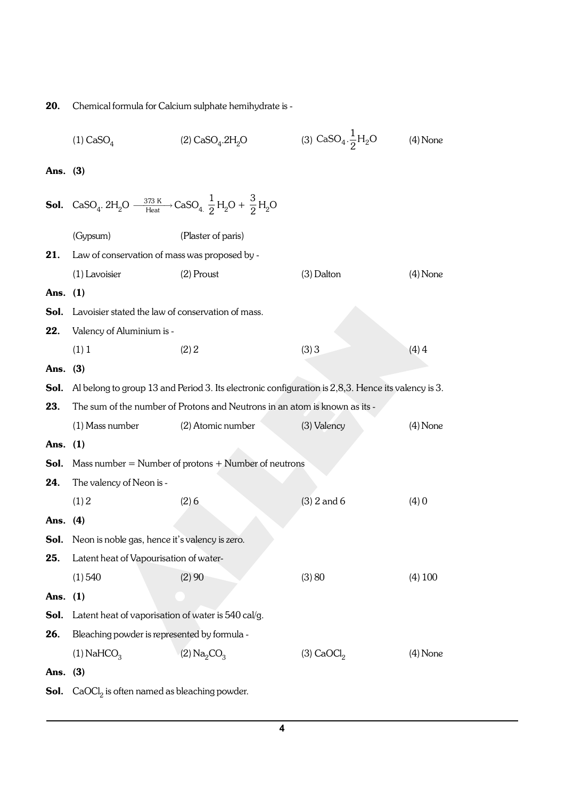20. Chemical formula for Calcium sulphate hemihydrate is -

|            | $(1)$ CaSO <sub><math>4</math></sub>                                                                                                                                     | (2) $CaSO_4.2H_2O$                                                                                 | (3) $CaSO_4.\frac{1}{2}H_2O$ | $(4)$ None |
|------------|--------------------------------------------------------------------------------------------------------------------------------------------------------------------------|----------------------------------------------------------------------------------------------------|------------------------------|------------|
| Ans. $(3)$ |                                                                                                                                                                          |                                                                                                    |                              |            |
|            |                                                                                                                                                                          |                                                                                                    |                              |            |
|            | <b>Sol.</b> CaSO <sub>4</sub> . 2H <sub>2</sub> O $\frac{373 \text{ K}}{\text{Heat}}$ CaSO <sub>4.</sub> $\frac{1}{2}$ H <sub>2</sub> O + $\frac{3}{2}$ H <sub>2</sub> O |                                                                                                    |                              |            |
|            | (Gypsum)                                                                                                                                                                 | (Plaster of paris)                                                                                 |                              |            |
| 21.        | Law of conservation of mass was proposed by -                                                                                                                            |                                                                                                    |                              |            |
|            | (1) Lavoisier                                                                                                                                                            | $(2)$ Proust                                                                                       | $(3)$ Dalton                 | $(4)$ None |
| Ans. $(1)$ |                                                                                                                                                                          |                                                                                                    |                              |            |
| Sol.       | Lavoisier stated the law of conservation of mass.                                                                                                                        |                                                                                                    |                              |            |
| 22.        | Valency of Aluminium is -                                                                                                                                                |                                                                                                    |                              |            |
|            | (1) 1                                                                                                                                                                    | (2) 2                                                                                              | (3)3                         | $(4)$ 4    |
| Ans. $(3)$ |                                                                                                                                                                          |                                                                                                    |                              |            |
| Sol.       |                                                                                                                                                                          | Al belong to group 13 and Period 3. Its electronic configuration is 2,8,3. Hence its valency is 3. |                              |            |
| 23.        |                                                                                                                                                                          | The sum of the number of Protons and Neutrons in an atom is known as its -                         |                              |            |
|            | (1) Mass number                                                                                                                                                          | (2) Atomic number                                                                                  | (3) Valency                  | $(4)$ None |
| Ans. $(1)$ |                                                                                                                                                                          |                                                                                                    |                              |            |
| Sol.       |                                                                                                                                                                          | Mass number = Number of protons $+$ Number of neutrons                                             |                              |            |
| 24.        | The valency of Neon is -                                                                                                                                                 |                                                                                                    |                              |            |
|            | (1) 2                                                                                                                                                                    | (2)6                                                                                               | $(3)$ 2 and 6                | (4)0       |
| Ans. $(4)$ |                                                                                                                                                                          |                                                                                                    |                              |            |
|            | <b>Sol.</b> Neon is noble gas, hence it's valency is zero.                                                                                                               |                                                                                                    |                              |            |
| 25.        | Latent heat of Vapourisation of water-                                                                                                                                   |                                                                                                    |                              |            |
|            | (1) 540                                                                                                                                                                  | (2)90                                                                                              | (3) 80                       | (4) 100    |
| Ans. $(1)$ |                                                                                                                                                                          |                                                                                                    |                              |            |
| Sol.       | Latent heat of vaporisation of water is 540 cal/g.                                                                                                                       |                                                                                                    |                              |            |
| 26.        | Bleaching powder is represented by formula -                                                                                                                             |                                                                                                    |                              |            |
|            | $(1)$ NaHCO <sub>3</sub>                                                                                                                                                 | (2) $Na_2CO_3$                                                                                     | $(3)$ CaOCl <sub>2</sub>     | $(4)$ None |
| Ans. (3)   |                                                                                                                                                                          |                                                                                                    |                              |            |
| Sol.       | $CaOCl2$ is often named as bleaching powder.                                                                                                                             |                                                                                                    |                              |            |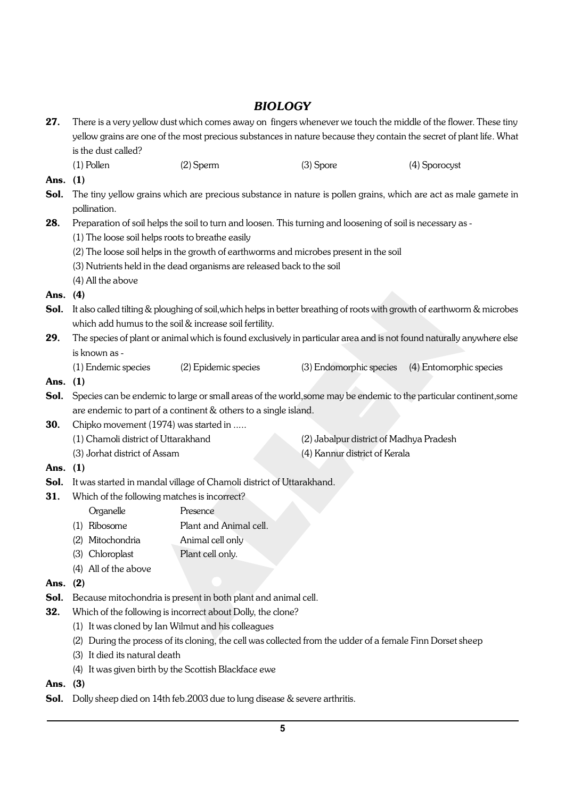## *BIOLOGY*

| 27.        | There is a very yellow dust which comes away on fingers whenever we touch the middle of the flower. These tiny      |                                                                                                                          |                                         |                                                                                                                 |  |  |  |
|------------|---------------------------------------------------------------------------------------------------------------------|--------------------------------------------------------------------------------------------------------------------------|-----------------------------------------|-----------------------------------------------------------------------------------------------------------------|--|--|--|
|            | yellow grains are one of the most precious substances in nature because they contain the secret of plant life. What |                                                                                                                          |                                         |                                                                                                                 |  |  |  |
|            | is the dust called?                                                                                                 |                                                                                                                          |                                         |                                                                                                                 |  |  |  |
|            | $(1)$ Pollen                                                                                                        | $(2)$ Sperm                                                                                                              | $(3)$ Spore                             | (4) Sporocyst                                                                                                   |  |  |  |
| Ans.       | (1)                                                                                                                 |                                                                                                                          |                                         |                                                                                                                 |  |  |  |
| Sol.       |                                                                                                                     |                                                                                                                          |                                         | The tiny yellow grains which are precious substance in nature is pollen grains, which are act as male gamete in |  |  |  |
|            | pollination.                                                                                                        |                                                                                                                          |                                         |                                                                                                                 |  |  |  |
| 28.        |                                                                                                                     | Preparation of soil helps the soil to turn and loosen. This turning and loosening of soil is necessary as -              |                                         |                                                                                                                 |  |  |  |
|            | (1) The loose soil helps roots to breathe easily                                                                    |                                                                                                                          |                                         |                                                                                                                 |  |  |  |
|            |                                                                                                                     | (2) The loose soil helps in the growth of earthworms and microbes present in the soil                                    |                                         |                                                                                                                 |  |  |  |
|            |                                                                                                                     | (3) Nutrients held in the dead organisms are released back to the soil                                                   |                                         |                                                                                                                 |  |  |  |
|            | (4) All the above                                                                                                   |                                                                                                                          |                                         |                                                                                                                 |  |  |  |
| Ans.       | (4)                                                                                                                 |                                                                                                                          |                                         |                                                                                                                 |  |  |  |
| Sol.       |                                                                                                                     | It also called tilting & ploughing of soil, which helps in better breathing of roots with growth of earthworm & microbes |                                         |                                                                                                                 |  |  |  |
|            | which add humus to the soil & increase soil fertility.                                                              |                                                                                                                          |                                         |                                                                                                                 |  |  |  |
| 29.        |                                                                                                                     | The species of plant or animal which is found exclusively in particular area and is not found naturally anywhere else    |                                         |                                                                                                                 |  |  |  |
|            | is known as -                                                                                                       |                                                                                                                          |                                         |                                                                                                                 |  |  |  |
|            | (1) Endemic species                                                                                                 | (2) Epidemic species                                                                                                     | (3) Endomorphic species                 | (4) Entomorphic species                                                                                         |  |  |  |
| Ans. $(1)$ |                                                                                                                     |                                                                                                                          |                                         |                                                                                                                 |  |  |  |
| Sol.       |                                                                                                                     | Species can be endemic to large or small areas of the world, some may be endemic to the particular continent, some       |                                         |                                                                                                                 |  |  |  |
|            |                                                                                                                     | are endemic to part of a continent & others to a single island.                                                          |                                         |                                                                                                                 |  |  |  |
| 30.        | Chipko movement (1974) was started in                                                                               |                                                                                                                          |                                         |                                                                                                                 |  |  |  |
|            | (1) Chamoli district of Uttarakhand                                                                                 |                                                                                                                          | (2) Jabalpur district of Madhya Pradesh |                                                                                                                 |  |  |  |
|            | (3) Jorhat district of Assam                                                                                        |                                                                                                                          | (4) Kannur district of Kerala           |                                                                                                                 |  |  |  |
| Ans.       | (1)                                                                                                                 |                                                                                                                          |                                         |                                                                                                                 |  |  |  |
| Sol.       |                                                                                                                     | It was started in mandal village of Chamoli district of Uttarakhand.                                                     |                                         |                                                                                                                 |  |  |  |
| 31.        | Which of the following matches is incorrect?                                                                        |                                                                                                                          |                                         |                                                                                                                 |  |  |  |
|            | Organelle                                                                                                           | Presence                                                                                                                 |                                         |                                                                                                                 |  |  |  |
|            | (1) Ribosome                                                                                                        | Plant and Animal cell.                                                                                                   |                                         |                                                                                                                 |  |  |  |
|            | Mitochondria<br>(2)                                                                                                 | Animal cell only                                                                                                         |                                         |                                                                                                                 |  |  |  |
|            | Chloroplast<br>(3)                                                                                                  | Plant cell only.                                                                                                         |                                         |                                                                                                                 |  |  |  |
|            | (4) All of the above                                                                                                |                                                                                                                          |                                         |                                                                                                                 |  |  |  |
| Ans.       | (2)                                                                                                                 |                                                                                                                          |                                         |                                                                                                                 |  |  |  |
| Sol.       |                                                                                                                     | Because mitochondria is present in both plant and animal cell.                                                           |                                         |                                                                                                                 |  |  |  |
| 32.        |                                                                                                                     | Which of the following is incorrect about Dolly, the clone?                                                              |                                         |                                                                                                                 |  |  |  |
|            | (1) It was cloned by Ian Wilmut and his colleagues                                                                  |                                                                                                                          |                                         |                                                                                                                 |  |  |  |
|            | (2)                                                                                                                 | During the process of its cloning, the cell was collected from the udder of a female Finn Dorset sheep                   |                                         |                                                                                                                 |  |  |  |
|            | (3) It died its natural death                                                                                       |                                                                                                                          |                                         |                                                                                                                 |  |  |  |
|            |                                                                                                                     | (4) It was given birth by the Scottish Blackface ewe                                                                     |                                         |                                                                                                                 |  |  |  |

- Ans. (3)
- Sol. Dolly sheep died on 14th feb.2003 due to lung disease & severe arthritis.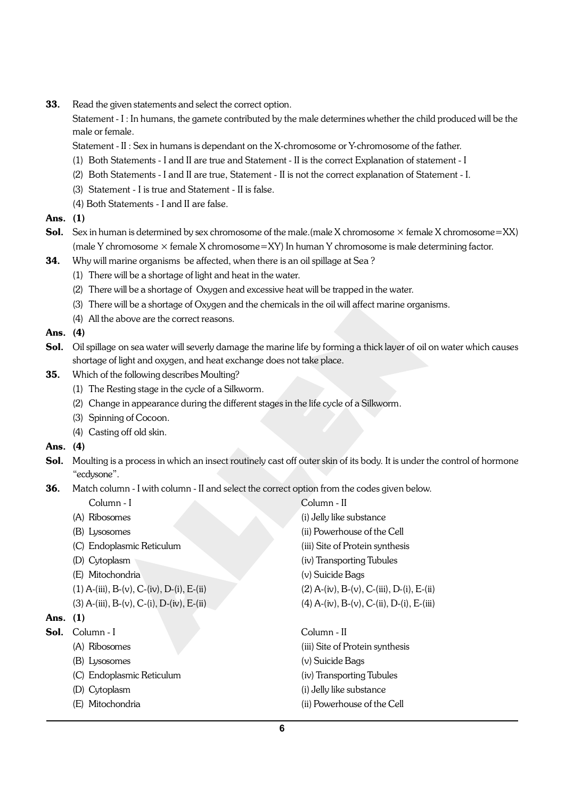**33.** Read the given statements and select the correct option.

Statement - I : In humans, the gamete contributed by the male determines whether the child produced will be the male or female.

Statement - II : Sex in humans is dependant on the X-chromosome or Y-chromosome of the father.

- (1) Both Statements I and II are true and Statement II is the correct Explanation of statement I
- (2) Both Statements I and II are true, Statement II is not the correct explanation of Statement I.
- (3) Statement I is true and Statement II is false.
- (4) Both Statements I and II are false.

#### Ans. (1)

- **Sol.** Sex in human is determined by sex chromosome of the male.(male X chromosome  $\times$  female X chromosome=XX) (male Y chromosome  $\times$  female X chromosome=XY) In human Y chromosome is male determining factor.
- **34.** Why will marine organisms be affected, when there is an oil spillage at Sea?
	- (1) There will be a shortage of light and heat in the water.
	- (2) There will be a shortage of Oxygen and excessive heat will be trapped in the water.
	- (3) There will be a shortage of Oxygen and the chemicals in the oil will affect marine organisms.
	- (4) All the above are the correct reasons.

#### Ans. (4)

- Sol. Oil spillage on sea water will severly damage the marine life by forming a thick layer of oil on water which causes shortage of light and oxygen, and heat exchange does not take place.
- 35. Which of the following describes Moulting?
	- (1) The Resting stage in the cycle of a Silkworm.
	- (2) Change in appearance during the different stages in the life cycle of a Silkworm.
	- (3) Spinning of Cocoon.
	- (4) Casting off old skin.

#### Ans. (4)

- Sol. Moulting is a process in which an insect routinely cast off outer skin of its body. It is under the control of hormone "ecdysone".
- **36.** Match column I with column II and select the correct option from the codes given below.
	-
	-
	-
	-
	-
	- (E) Mitochondria (v) Suicide Bags
	-
	-

#### Ans. (1)

- Sol. Column I Column II
	-
	-
	- (C) Endoplasmic Reticulum (iv) Transporting Tubules
	-
	-
- Column I Column II (A) Ribosomes (i) Jelly like substance (B) Lysosomes (ii) Powerhouse of the Cell (C) Endoplasmic Reticulum (iii) Site of Protein synthesis (D) Cytoplasm (iv) Transporting Tubules (1) A-(iii), B-(v), C-(iv), D-(i), E-(ii) (2) A-(iv), B-(v), C-(iii), D-(i), E-(ii) (3) A-(iii), B-(v), C-(i), D-(iv), E-(ii) (4) A-(iv), B-(v), C-(ii), D-(i), E-(iii)
	- (A) Ribosomes (iii) Site of Protein synthesis (B) Lysosomes (v) Suicide Bags (D) Cytoplasm (i) Jelly like substance (E) Mitochondria (ii) Powerhouse of the Cell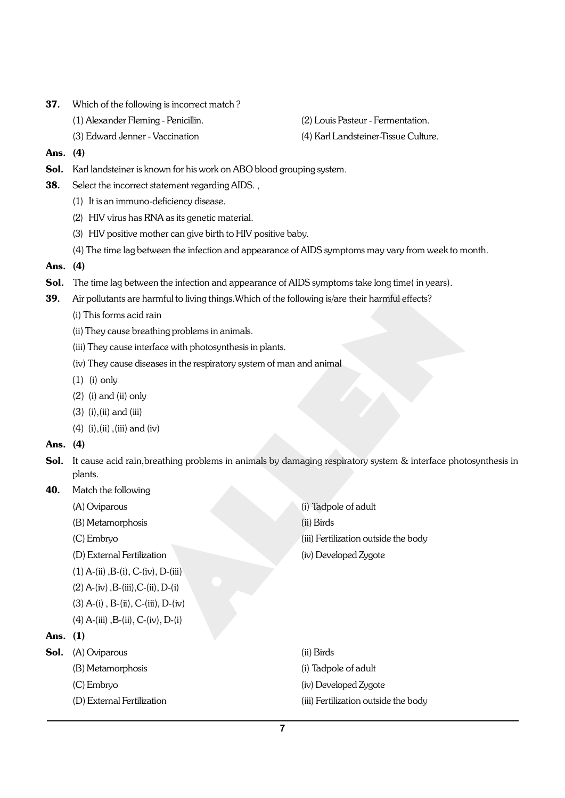- 37. Which of the following is incorrect match ?
	- (1) Alexander Fleming Penicillin. (2) Louis Pasteur Fermentation.
	-

(3) Edward Jenner - Vaccination (4) Karl Landsteiner-Tissue Culture.

- Ans. (4)
- Sol. Karl landsteiner is known for his work on ABO blood grouping system.
- **38.** Select the incorrect statement regarding AIDS.,
	- (1) It is an immuno-deficiency disease.
	- (2) HIV virus has RNA as its genetic material.
	- (3) HIV positive mother can give birth to HIV positive baby.
	- (4) The time lag between the infection and appearance of AIDS symptoms may vary from week to month.

#### Ans. (4)

- Sol. The time lag between the infection and appearance of AIDS symptoms take long time(in years).
- 39. Air pollutants are harmful to living things. Which of the following is/are their harmful effects?
	- (i) This forms acid rain
	- (ii) They cause breathing problems in animals.
	- (iii) They cause interface with photosynthesis in plants.
	- (iv) They cause diseases in the respiratory system of man and animal
	- (1) (i) only
	- (2) (i) and (ii) only
	- $(3)$   $(i)$ ,  $(ii)$  and  $(iii)$
	- (4) (i),(ii),(iii) and (iv)

#### Ans. (4)

- Sol. It cause acid rain, breathing problems in animals by damaging respiratory system & interface photosynthesis in plants.
- 40. Match the following
	-
	- (B) Metamorphosis (ii) Birds
	-
	- (D) External Fertilization (iv) Developed Zygote
	- $(1)$  A-(ii), B-(i), C-(iv), D-(iii)
	- $(2)$  A-(iv), B-(iii), C-(ii), D-(i)
	- $(3)$  A- $(i)$ , B- $(ii)$ , C- $(iii)$ , D- $(iv)$
	- $(4)$  A-(iii), B-(ii), C-(iv), D-(i)

### Ans. (1)

- Sol. (A) Oviparous (ii) Birds
	- (B) Metamorphosis (i) Tadpole of adult
	-
	-

(A) Oviparous (i) Tadpole of adult (C) Embryo (iii) Fertilization outside the body

- 
- (C) Embryo (iv) Developed Zygote
- (D) External Fertilization (iii) Fertilization outside the body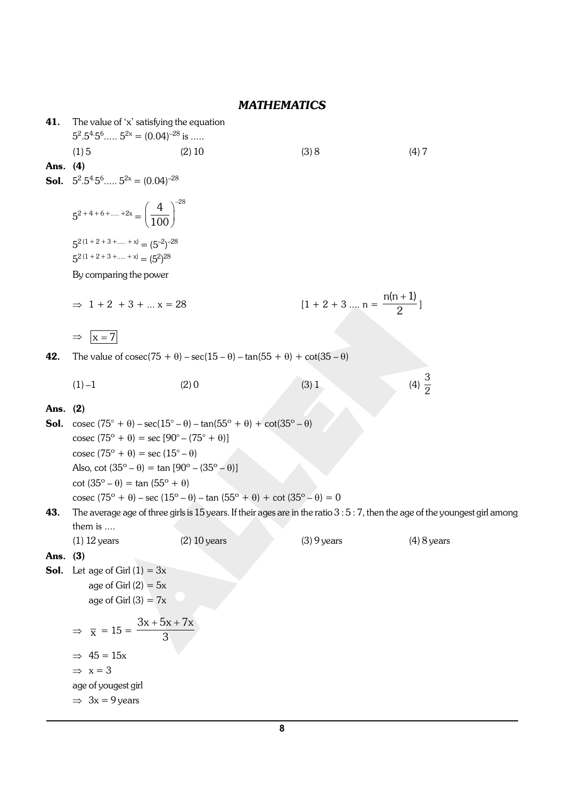## *MATHEMATICS*

| 41.      | The value of 'x' satisfying the equation<br>$5^2.5^4.5^6$ $5^{2x} = (0.04)^{-28}$ is                                                                                                                                                                                          |                                                                                                                                                                                                                                                  |                                          |                   |
|----------|-------------------------------------------------------------------------------------------------------------------------------------------------------------------------------------------------------------------------------------------------------------------------------|--------------------------------------------------------------------------------------------------------------------------------------------------------------------------------------------------------------------------------------------------|------------------------------------------|-------------------|
|          | (1)5                                                                                                                                                                                                                                                                          | $(2)$ 10                                                                                                                                                                                                                                         | (3) 8                                    | (4)7              |
| Ans. (4) |                                                                                                                                                                                                                                                                               |                                                                                                                                                                                                                                                  |                                          |                   |
| Sol.     | $5^2.5^4.5^6$ $5^{2x} = (0.04)^{-28}$                                                                                                                                                                                                                                         |                                                                                                                                                                                                                                                  |                                          |                   |
|          | $5^{2+4+6++2x} = \left(\frac{4}{100}\right)^{-28}$                                                                                                                                                                                                                            |                                                                                                                                                                                                                                                  |                                          |                   |
|          | $5^{2(1+2+3++x)} = (5^{-2})^{-28}$<br>$5^{2(1+2+3++x)} = (5^2)^{28}$                                                                                                                                                                                                          |                                                                                                                                                                                                                                                  |                                          |                   |
|          | By comparing the power                                                                                                                                                                                                                                                        |                                                                                                                                                                                                                                                  |                                          |                   |
|          |                                                                                                                                                                                                                                                                               |                                                                                                                                                                                                                                                  |                                          |                   |
|          | $\Rightarrow$ 1 + 2 + 3 +  x = 28                                                                                                                                                                                                                                             |                                                                                                                                                                                                                                                  | $[1 + 2 + 3 \dots n = \frac{n(n+1)}{2}]$ |                   |
|          | $ x=7 $<br>$\Rightarrow$                                                                                                                                                                                                                                                      |                                                                                                                                                                                                                                                  |                                          |                   |
| 42.      |                                                                                                                                                                                                                                                                               | The value of $\csc(75 + \theta) - \sec(15 - \theta) - \tan(55 + \theta) + \cot(35 - \theta)$                                                                                                                                                     |                                          |                   |
|          | $(1) -1$                                                                                                                                                                                                                                                                      | (2)0                                                                                                                                                                                                                                             | (3) 1                                    | (4) $\frac{3}{2}$ |
| Ans.     | (2)                                                                                                                                                                                                                                                                           |                                                                                                                                                                                                                                                  |                                          |                   |
| Sol.     | $\csc (75^{\circ} + \theta) = \sec [90^{\circ} - (75^{\circ} + \theta)]$<br>$\csc(75^{\circ} + \theta) = \sec(15^{\circ} - \theta)$<br>Also, cot $(35^{\circ} - \theta) = \tan [90^{\circ} - (35^{\circ} - \theta)]$<br>$\cot (35^\circ - \theta) = \tan (55^\circ + \theta)$ | cosec $(75^{\circ} + \theta) - \sec(15^{\circ} - \theta) - \tan(55^{\circ} + \theta) + \cot(35^{\circ} - \theta)$<br>cosec $(75^{\circ} + \theta)$ – sec $(15^{\circ} - \theta)$ – tan $(55^{\circ} + \theta)$ + cot $(35^{\circ} - \theta)$ = 0 |                                          |                   |
| 43.      |                                                                                                                                                                                                                                                                               | The average age of three girls is 15 years. If their ages are in the ratio $3:5:7$ , then the age of the youngest girl among                                                                                                                     |                                          |                   |
|          | them is                                                                                                                                                                                                                                                                       |                                                                                                                                                                                                                                                  |                                          |                   |
|          | $(1)$ 12 years                                                                                                                                                                                                                                                                | $(2)$ 10 years                                                                                                                                                                                                                                   | $(3)$ 9 years                            | $(4)$ 8 years     |
| Ans. (3) | <b>Sol.</b> Let age of Girl $(1) = 3x$<br>age of Girl $(2) = 5x$<br>age of Girl $(3) = 7x$                                                                                                                                                                                    |                                                                                                                                                                                                                                                  |                                          |                   |
|          | $3x + 5x + 7x$<br>$\Rightarrow \overline{x} = 15 =$<br>$\overline{3}$<br>$\Rightarrow$ 45 = 15x<br>$\Rightarrow$ x = 3<br>age of yougest girl<br>$\Rightarrow$ 3x = 9 years                                                                                                   |                                                                                                                                                                                                                                                  |                                          |                   |
|          |                                                                                                                                                                                                                                                                               |                                                                                                                                                                                                                                                  |                                          |                   |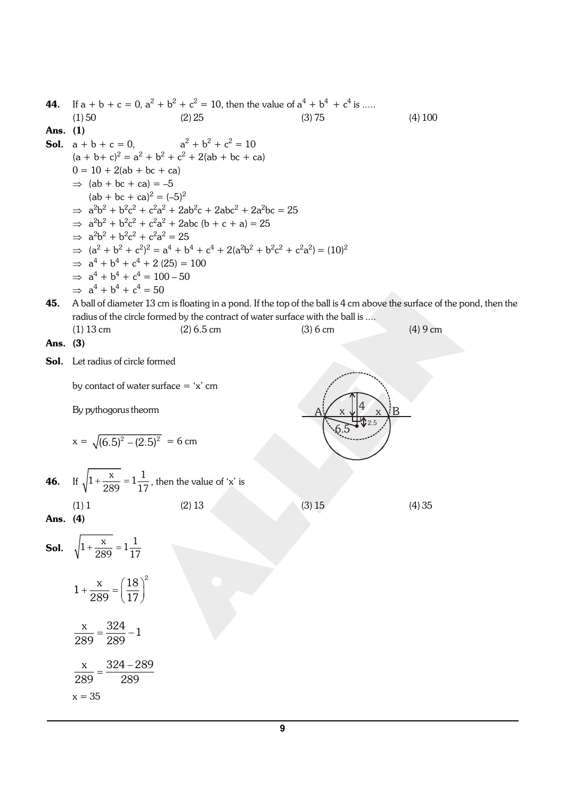44. If a + b + c = 0, a<sup>2</sup> + b<sup>2</sup> + c<sup>2</sup> = 10, then the value of a<sup>4</sup> + b<sup>4</sup>+ c<sup>4</sup> is ..... (1) 50 (2) 25 (3) 75 (4) 100 Ans. (1) Sol. a + b + c = 0, a 2 + b<sup>2</sup> + c<sup>2</sup> = 10 (a + b+ c)<sup>2</sup> = a<sup>2</sup> + b<sup>2</sup> + c<sup>2</sup> + 2(ab + bc + ca) 0 = 10 + 2(ab + bc + ca) Þ (ab + bc + ca) = –5 (ab + bc + ca)<sup>2</sup> = (–5)<sup>2</sup> Þ a 2b 2 + b<sup>2</sup> c 2 + c<sup>2</sup> a 2 + 2ab<sup>2</sup> c + 2abc<sup>2</sup> + 2a<sup>2</sup>bc = 25 Þ a 2b 2 + b<sup>2</sup> c 2 + c<sup>2</sup> a 2 + 2abc (b + c + a) = 25 Þ a 2b 2 + b<sup>2</sup> c 2 + c<sup>2</sup> a 2 = 25 Þ (a<sup>2</sup> + b<sup>2</sup> + c<sup>2</sup> ) 2 = a<sup>4</sup> + b<sup>4</sup> + c<sup>4</sup> + 2(a<sup>2</sup>b 2 + b<sup>2</sup> c 2 + c<sup>2</sup> a 2 ) = (10)<sup>2</sup> Þ a 4 + b<sup>4</sup> + c<sup>4</sup> + 2 (25) = 100 Þ a 4 + b<sup>4</sup> + c<sup>4</sup> = 100 – 50 Þ a 4 + b<sup>4</sup> + c<sup>4</sup> = 50 45. A ball of diameter 13 cm is floating in a pond. If the top of the ball is 4 cm above the surface of the pond, then the radius of the circle formed by the contract of water surface with the ball is .... (1) 13 cm (2) 6.5 cm (3) 6 cm (4) 9 cm Ans. (3) Sol. Let radius of circle formed by contact of water surface = 'x' cm x 4 2.5 A x B 6.5 By pythogorus theorm x = - 2 2 (6.5) (2.5) = 6 cm 46. If + = x 1 1 1 289 17 , then the value of 'x' is (1) 1 (2) 13 (3) 15 (4) 35 Ans. (4) Sol. + = x 1 1 1 289 17 æ ö + = ç ÷ è ø 2 x 18 <sup>1</sup> 289 17 = x 324 <sup>1</sup> 289 289 - = x 324 289 289 289 x = 35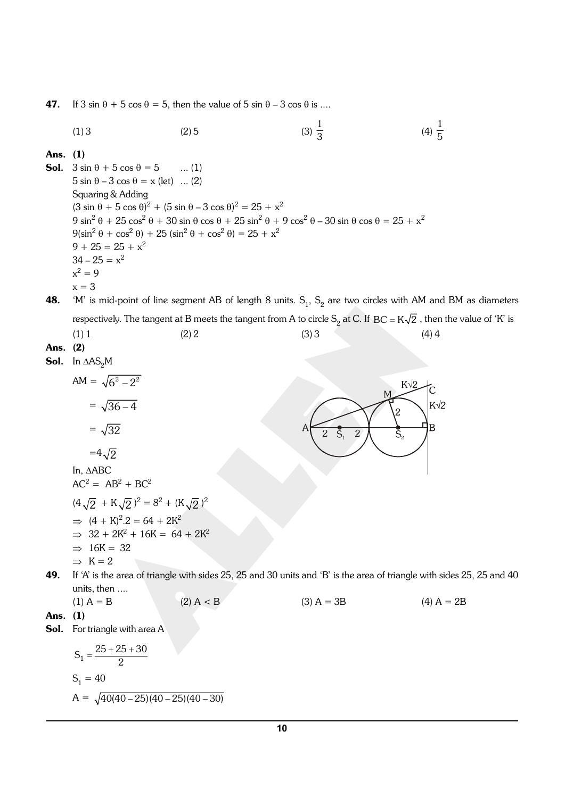47. If  $3 \sin \theta + 5 \cos \theta = 5$ , then the value of  $5 \sin \theta - 3 \cos \theta$  is ....

(1) 3 (2) 5 (3) 
$$
\frac{1}{3}
$$
 (4)  $\frac{1}{5}$ 

Ans. (1)

**Sol.**  $3 \sin \theta + 5 \cos \theta = 5$  ... (1)  $5 \sin \theta - 3 \cos \theta = x$  (let) ... (2) Squaring & Adding  $(3 \sin \theta + 5 \cos \theta)^2 + (5 \sin \theta - 3 \cos \theta)^2 = 25 + x^2$  $9 \sin^2 \theta + 25 \cos^2 \theta + 30 \sin \theta \cos \theta + 25 \sin^2 \theta + 9 \cos^2 \theta - 30 \sin \theta \cos \theta = 25 + x^2$  $9(\sin^2 \theta + \cos^2 \theta) + 25(\sin^2 \theta + \cos^2 \theta) = 25 + x^2$  $9 + 25 = 25 + x^2$  $34 - 25 = x^2$  $x^2 = 9$  $x = 3$ 

**48.** 'M' is mid-point of line segment AB of length 8 units.  $\mathsf{S}_1, \, \mathsf{S}_2$  are two circles with AM and BM as diameters respectively. The tangent at B meets the tangent from A to circle  $\rm S_2$  at C. If  $\rm BC$  = K  $\!\sqrt{2}$  , then the value of 'K' is

(1) 1 (2) 2 (3) 3 (4) 4  
\n**Ans.** (2)  
\n**Sol.** In ΔAS<sub>2</sub>M  
\nAM = 
$$
\sqrt{6^2 - 2^2}
$$
  
\n=  $\sqrt{36 - 4}$   
\n=  $\sqrt{32}$   
\nIn, ΔABC  
\nAC<sup>2</sup> = AB<sup>2</sup> + BC<sup>2</sup>  
\n(H $\sqrt{2}$  + K $\sqrt{2}$ )<sup>2</sup> = 8<sup>2</sup> + (K $\sqrt{2}$ )<sup>2</sup>  
\n⇒ (4 + K)<sup>2</sup>.2 = 64 + 2K<sup>2</sup>  
\n⇒ 32 + 2K<sup>2</sup> + 16K = 64 + 2K<sup>2</sup>  
\n⇒ 16K = 32  
\n⇒ K = 2  
\n**49.** If 'A' is the area of triangle with sides 25, 25 and 30 units and 'B' is the area of triangle with sides 2 units, then ....  
\n(1) A = B  
\n(2) A < B  
\n(3) A = 3B  
\n(4) A = 2B

Ans. (1)

Sol. For triangle with area A

$$
S_1 = \frac{25 + 25 + 30}{2}
$$
  
\n
$$
S_1 = 40
$$
  
\n
$$
A = \sqrt{40(40 - 25)(40 - 25)(40 - 30)}
$$

sides 25, 25 and 40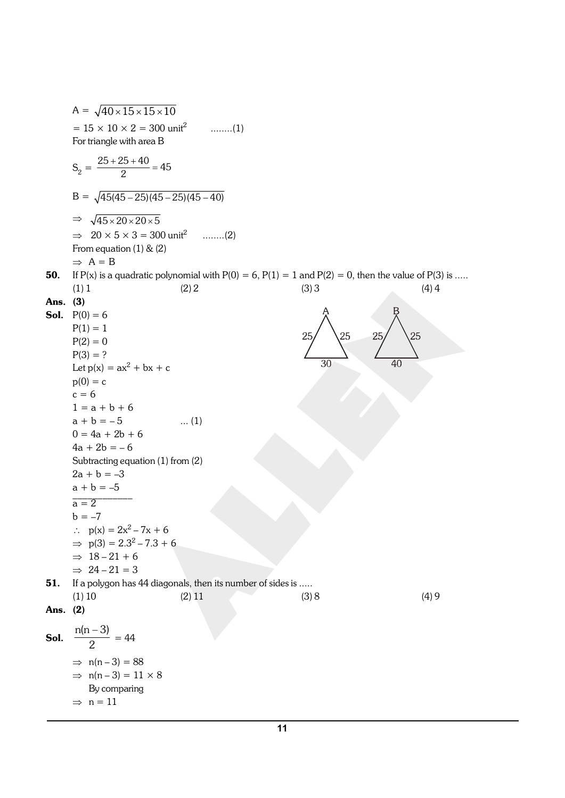$A = \sqrt{40 \times 15 \times 15 \times 10}$  $= 15 \times 10 \times 2 = 300 \text{ unit}^2$  ........(1) For triangle with area B  $S_2 = \frac{25 + 25 + 40}{2} = 45$  $B = \sqrt{45(45-25)(45-25)(45-40)}$  $\Rightarrow \sqrt{45 \times 20 \times 20 \times 5}$  $\Rightarrow$  20  $\times$  5  $\times$  3 = 300 unit<sup>2</sup> ........(2) From equation (1) & (2)  $\Rightarrow$  A = B **50.** If P(x) is a quadratic polynomial with  $P(0) = 6$ ,  $P(1) = 1$  and  $P(2) = 0$ , then the value of P(3) is ..... (1) 1 (2) 2 (3) 3 (4) 4 Ans. (3) **Sol.**  $P(0) = 6$  $P(1) = 1$ 25  $P(2) = 0$  $P(3) = ?$  $\overline{30}$  $\overline{40}$ Let  $p(x) = ax^2 + bx + c$  $p(0) = c$  $c = 6$  $1 = a + b + 6$  $a + b = -5$  ... (1)  $0 = 4a + 2b + 6$  $4a + 2b = -6$ Subtracting equation (1) from (2)  $2a + b = -3$  $a + b = -5$  $\overline{a} = 2$  $b = -7$ :  $p(x) = 2x^2 - 7x + 6$  $\implies$  p(3) = 2.3<sup>2</sup> – 7.3 + 6  $\Rightarrow$  18 – 21 + 6  $\Rightarrow$  24 – 21 = 3 **51.** If a polygon has 44 diagonals, then its number of sides is ..... (1) 10 (2) 11 (3) 8 (4) 9 Ans. (2) n(n – 3) Sol.  $\frac{1}{2}$  = 44  $\Rightarrow$  n(n – 3) = 88  $\Rightarrow$  n(n – 3) = 11 × 8 By comparing  $\Rightarrow$  n = 11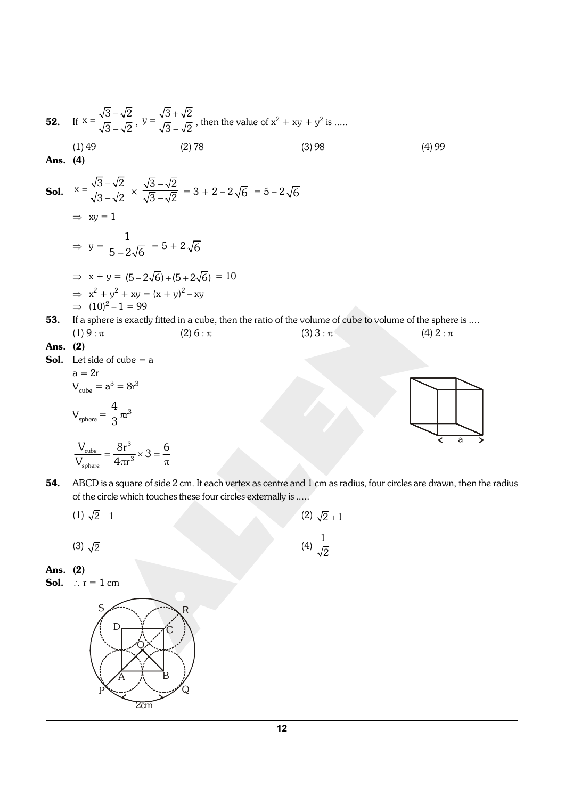52. If 
$$
x = \frac{\sqrt{3} - \sqrt{2}}{\sqrt{3} + \sqrt{2}}
$$
,  $y = \frac{\sqrt{3} + \sqrt{2}}{\sqrt{3} - \sqrt{2}}$ , then the value of  $x^2 + xy + y^2$  is ......  
\n(1) 49 (2) 78 (3) 98 (4) 99  
\nAns. (4)  
\n50.  $x = \frac{\sqrt{3} - \sqrt{2}}{\sqrt{3} + \sqrt{2}} \times \frac{\sqrt{3} - \sqrt{2}}{\sqrt{3} - \sqrt{2}} = 3 + 2 - 2\sqrt{6} = 5 - 2\sqrt{6}$   
\n $\Rightarrow xy = 1$   
\n $\Rightarrow y = \frac{1}{5 - 2\sqrt{6}} = 5 + 2\sqrt{6}$   
\n $\Rightarrow x + y = (5 - 2\sqrt{6}) + (5 + 2\sqrt{6}) = 10$   
\n $\Rightarrow x^2 + y^2 + xy = (x + y)^2 - xy$   
\n $\Rightarrow (10)^2 - 1 = 99$   
\n53. If a sphere is exactly fitted in a cube, then the ratio of the volume of cube to volume of the sphere is ....  
\n(1) 9 :  $\pi$  (2) 6 :  $\pi$  (3) 3 :  $\pi$  (4) 2 :  $\pi$   
\nAns. (2)  
\n50. Let side of cube = a  
\na = 2r  
\n $V_{\text{cube}} = a^3 = 8r^3$   
\n $V_{\text{sphere}} = \frac{4}{3}\pi r^3$ 

$$
\frac{V_{\text{cube}}}{V_{\text{sphere}}} = \frac{8r^3}{4\pi r^3} \times 3 = \frac{6}{\pi}
$$

54. ABCD is a square of side 2 cm. It each vertex as centre and 1 cm as radius, four circles are drawn, then the radius of the circle which touches these four circles externally is .....

> 1 2

- (1)  $\sqrt{2} 1$  (2)  $\sqrt{2} + 1$
- (3)  $\sqrt{2}$
- Ans. (2)
- **Sol.**  $\therefore$  r = 1 cm

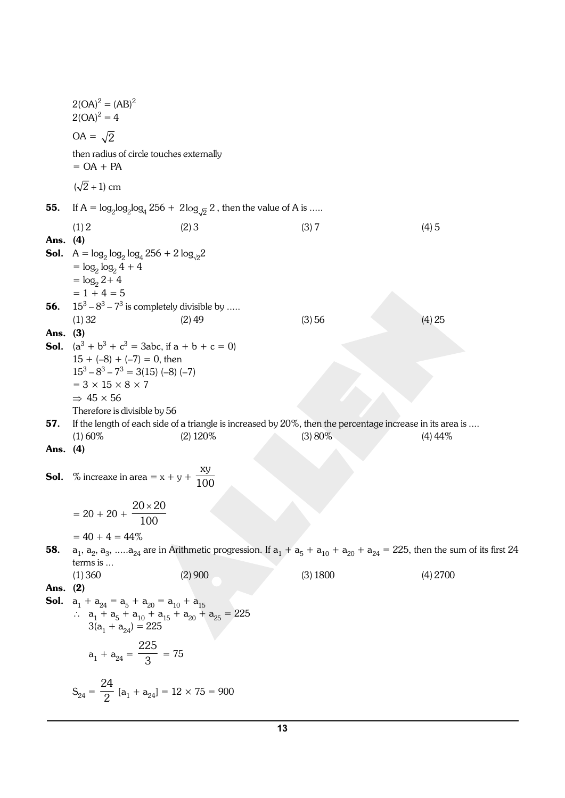|            | $2(OA)^2 = (AB)^2$<br>$2(OA)^2 = 4$                                                                                                                                                                      |                                                                                                                                              |          |            |  |  |  |
|------------|----------------------------------------------------------------------------------------------------------------------------------------------------------------------------------------------------------|----------------------------------------------------------------------------------------------------------------------------------------------|----------|------------|--|--|--|
|            | $OA = \sqrt{2}$                                                                                                                                                                                          |                                                                                                                                              |          |            |  |  |  |
|            | then radius of circle touches externally<br>$= OA + PA$                                                                                                                                                  |                                                                                                                                              |          |            |  |  |  |
|            | $(\sqrt{2} + 1)$ cm                                                                                                                                                                                      |                                                                                                                                              |          |            |  |  |  |
| 55.        |                                                                                                                                                                                                          | If $A = \log_2 \log_2 \log_4 256 + 2 \log_{\sqrt{2}} 2$ , then the value of A is                                                             |          |            |  |  |  |
|            |                                                                                                                                                                                                          |                                                                                                                                              |          |            |  |  |  |
| Ans. (4)   | (1) 2                                                                                                                                                                                                    | (2)3                                                                                                                                         | (3)7     | (4)5       |  |  |  |
|            |                                                                                                                                                                                                          |                                                                                                                                              |          |            |  |  |  |
|            | <b>Sol.</b> $A = \log_2 \log_2 \log_4 256 + 2 \log_{12} 2$<br>$= \log_2 \log_2 4 + 4$                                                                                                                    |                                                                                                                                              |          |            |  |  |  |
|            | $=$ $log_2 2 + 4$                                                                                                                                                                                        |                                                                                                                                              |          |            |  |  |  |
|            | $= 1 + 4 = 5$                                                                                                                                                                                            |                                                                                                                                              |          |            |  |  |  |
| 56.        | $15^3 - 8^3 - 7^3$ is completely divisible by                                                                                                                                                            |                                                                                                                                              |          |            |  |  |  |
|            | (1) 32                                                                                                                                                                                                   | $(2)$ 49                                                                                                                                     | (3) 56   | (4) 25     |  |  |  |
| Ans. (3)   |                                                                                                                                                                                                          |                                                                                                                                              |          |            |  |  |  |
|            | <b>Sol.</b> $(a^3 + b^3 + c^3 = 3abc$ , if $a + b + c = 0$                                                                                                                                               |                                                                                                                                              |          |            |  |  |  |
|            | $15 + (-8) + (-7) = 0$ , then                                                                                                                                                                            |                                                                                                                                              |          |            |  |  |  |
|            | $15^3 - 8^3 - 7^3 = 3(15)$ (-8) (-7)                                                                                                                                                                     |                                                                                                                                              |          |            |  |  |  |
|            | $= 3 \times 15 \times 8 \times 7$                                                                                                                                                                        |                                                                                                                                              |          |            |  |  |  |
|            | $\Rightarrow$ 45 $\times$ 56                                                                                                                                                                             |                                                                                                                                              |          |            |  |  |  |
|            | Therefore is divisible by 56                                                                                                                                                                             |                                                                                                                                              |          |            |  |  |  |
| 57.        |                                                                                                                                                                                                          | If the length of each side of a triangle is increased by 20%, then the percentage increase in its area is                                    |          |            |  |  |  |
| Ans. $(4)$ | $(1)$ 60%                                                                                                                                                                                                | $(2)$ 120%                                                                                                                                   | (3)80%   | $(4)$ 44\% |  |  |  |
|            |                                                                                                                                                                                                          |                                                                                                                                              |          |            |  |  |  |
|            | <b>Sol.</b> % increaxe in area = $x + y + \frac{xy}{100}$                                                                                                                                                |                                                                                                                                              |          |            |  |  |  |
|            |                                                                                                                                                                                                          |                                                                                                                                              |          |            |  |  |  |
|            | $= 20 + 20 + \frac{20 \times 20}{100}$                                                                                                                                                                   |                                                                                                                                              |          |            |  |  |  |
|            |                                                                                                                                                                                                          |                                                                                                                                              |          |            |  |  |  |
|            | $= 40 + 4 = 44\%$                                                                                                                                                                                        |                                                                                                                                              |          |            |  |  |  |
| 58.        |                                                                                                                                                                                                          | $a_1, a_2, a_3, \ldots a_{24}$ are in Arithmetic progression. If $a_1 + a_5 + a_{10} + a_{20} + a_{24} = 225$ , then the sum of its first 24 |          |            |  |  |  |
|            | terms is                                                                                                                                                                                                 |                                                                                                                                              |          |            |  |  |  |
|            | (1)360                                                                                                                                                                                                   | (2)900                                                                                                                                       | (3) 1800 | (4) 2700   |  |  |  |
| Ans. (2)   |                                                                                                                                                                                                          |                                                                                                                                              |          |            |  |  |  |
| Sol.       | $a_1 + a_{24} = a_5 + a_{20} = a_{10} + a_{15}$<br>$\therefore$ a <sub>1</sub> + a <sub>5</sub> + a <sub>10</sub> + a <sub>15</sub> + a <sub>20</sub> + a <sub>25</sub> = 225<br>$3(a_1 + a_{24}) = 225$ |                                                                                                                                              |          |            |  |  |  |
|            | $a_1 + a_{24} = \frac{225}{3} = 75$                                                                                                                                                                      |                                                                                                                                              |          |            |  |  |  |
|            | $S_{24} = \frac{24}{2} [a_1 + a_{24}] = 12 \times 75 = 900$                                                                                                                                              |                                                                                                                                              |          |            |  |  |  |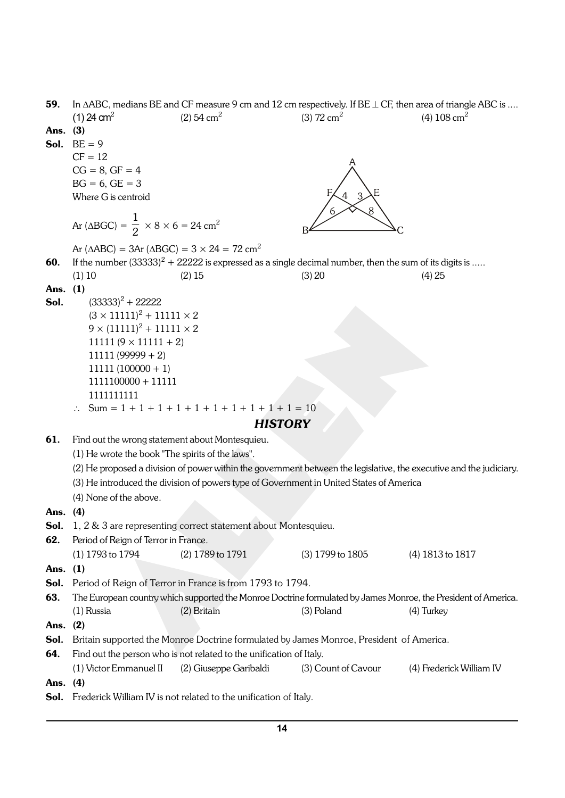| 59.      | In $\triangle$ ABC, medians BE and CF measure 9 cm and 12 cm respectively. If BE $\perp$ CF, then area of triangle ABC is |                                                                                                          |                          |                                                                                                                     |
|----------|---------------------------------------------------------------------------------------------------------------------------|----------------------------------------------------------------------------------------------------------|--------------------------|---------------------------------------------------------------------------------------------------------------------|
|          | $(1)$ 24 cm <sup>2</sup>                                                                                                  | (2) $54 \text{ cm}^2$                                                                                    | $(3)$ 72 cm <sup>2</sup> | (4) $108 \text{ cm}^2$                                                                                              |
| Ans.     | (3)                                                                                                                       |                                                                                                          |                          |                                                                                                                     |
| Sol.     | $BE = 9$                                                                                                                  |                                                                                                          |                          |                                                                                                                     |
|          | $CF = 12$                                                                                                                 |                                                                                                          |                          |                                                                                                                     |
|          | $CG = 8, GF = 4$                                                                                                          |                                                                                                          |                          |                                                                                                                     |
|          | $BG = 6$ , $GE = 3$                                                                                                       |                                                                                                          |                          |                                                                                                                     |
|          | Where G is centroid                                                                                                       |                                                                                                          |                          |                                                                                                                     |
|          |                                                                                                                           |                                                                                                          |                          |                                                                                                                     |
|          | Ar ( $\triangle BGC$ ) = $\frac{1}{2} \times 8 \times 6 = 24 \text{ cm}^2$                                                |                                                                                                          |                          |                                                                                                                     |
|          | Ar ( $\triangle ABC$ ) = 3Ar ( $\triangle BGC$ ) = 3 $\times$ 24 = 72 cm <sup>2</sup>                                     |                                                                                                          |                          |                                                                                                                     |
| 60.      |                                                                                                                           | If the number $(33333)^2 + 22222$ is expressed as a single decimal number, then the sum of its digits is |                          |                                                                                                                     |
|          | (1) 10                                                                                                                    | (2) 15                                                                                                   | (3) 20                   | (4) 25                                                                                                              |
| Ans. (1) |                                                                                                                           |                                                                                                          |                          |                                                                                                                     |
| Sol.     | $(33333)^{2} + 22222$                                                                                                     |                                                                                                          |                          |                                                                                                                     |
|          | $(3 \times 11111)^2 + 11111 \times 2$                                                                                     |                                                                                                          |                          |                                                                                                                     |
|          | $9 \times (11111)^2 + 11111 \times 2$                                                                                     |                                                                                                          |                          |                                                                                                                     |
|          | $11111 (9 \times 11111 + 2)$                                                                                              |                                                                                                          |                          |                                                                                                                     |
|          | $11111 (99999 + 2)$                                                                                                       |                                                                                                          |                          |                                                                                                                     |
|          | $11111(100000 + 1)$                                                                                                       |                                                                                                          |                          |                                                                                                                     |
|          | $1111100000 + 11111$                                                                                                      |                                                                                                          |                          |                                                                                                                     |
|          | 1111111111                                                                                                                |                                                                                                          |                          |                                                                                                                     |
|          |                                                                                                                           | Sum = $1 + 1 + 1 + 1 + 1 + 1 + 1 + 1 + 1 + 1 = 10$                                                       |                          |                                                                                                                     |
|          |                                                                                                                           |                                                                                                          |                          |                                                                                                                     |
|          |                                                                                                                           | <b>HISTORY</b>                                                                                           |                          |                                                                                                                     |
| 61.      | Find out the wrong statement about Montesquieu.                                                                           |                                                                                                          |                          |                                                                                                                     |
|          | (1) He wrote the book "The spirits of the laws".                                                                          |                                                                                                          |                          |                                                                                                                     |
|          |                                                                                                                           |                                                                                                          |                          | (2) He proposed a division of power within the government between the legislative, the executive and the judiciary. |
|          |                                                                                                                           | (3) He introduced the division of powers type of Government in United States of America                  |                          |                                                                                                                     |
|          |                                                                                                                           |                                                                                                          |                          |                                                                                                                     |
|          | (4) None of the above.                                                                                                    |                                                                                                          |                          |                                                                                                                     |
| Ans.     | (4)                                                                                                                       |                                                                                                          |                          |                                                                                                                     |
| Sol.     |                                                                                                                           | 1, 2 & 3 are representing correct statement about Montesquieu.                                           |                          |                                                                                                                     |
| 62.      | Period of Reign of Terror in France.                                                                                      |                                                                                                          |                          |                                                                                                                     |
|          | (1) 1793 to 1794                                                                                                          | (2) 1789 to 1791                                                                                         | (3) 1799 to 1805         | (4) 1813 to 1817                                                                                                    |
| Ans.     | (1)                                                                                                                       |                                                                                                          |                          |                                                                                                                     |
| Sol.     |                                                                                                                           | Period of Reign of Terror in France is from 1793 to 1794.                                                |                          |                                                                                                                     |
| 63.      |                                                                                                                           |                                                                                                          |                          | The European country which supported the Monroe Doctrine formulated by James Monroe, the President of America.      |
|          | $(1)$ Russia                                                                                                              | (2) Britain                                                                                              | (3) Poland               | (4) Turkey                                                                                                          |
| Ans.     | (2)                                                                                                                       |                                                                                                          |                          |                                                                                                                     |
| Sol.     |                                                                                                                           | Britain supported the Monroe Doctrine formulated by James Monroe, President of America.                  |                          |                                                                                                                     |
| 64.      |                                                                                                                           | Find out the person who is not related to the unification of Italy.                                      |                          |                                                                                                                     |
|          | (1) Victor Emmanuel II                                                                                                    | (2) Giuseppe Garibaldi                                                                                   | (3) Count of Cavour      | (4) Frederick William IV                                                                                            |
| Ans.     | (4)                                                                                                                       |                                                                                                          |                          |                                                                                                                     |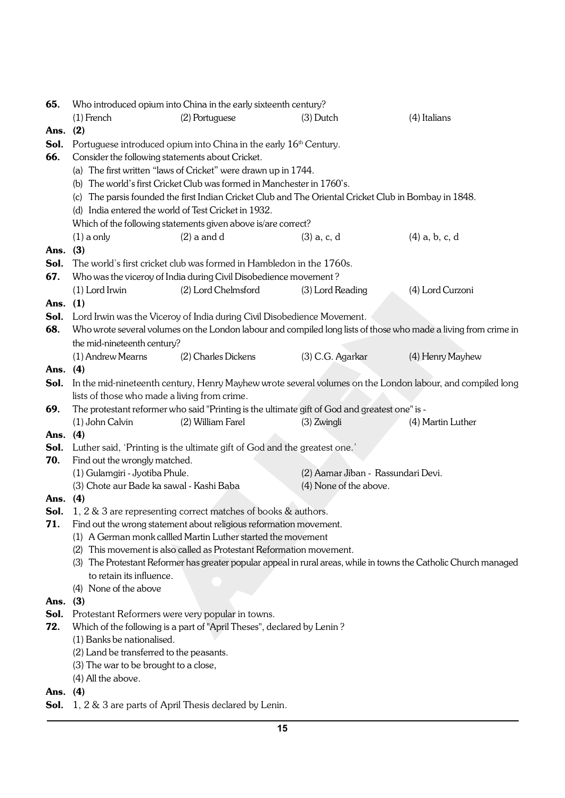| 65.  | Who introduced opium into China in the early sixteenth century? |                                                                               |                                                                                                       |                                                                                                                   |  |
|------|-----------------------------------------------------------------|-------------------------------------------------------------------------------|-------------------------------------------------------------------------------------------------------|-------------------------------------------------------------------------------------------------------------------|--|
|      | $(1)$ French                                                    | (2) Portuguese                                                                | $(3)$ Dutch                                                                                           | (4) Italians                                                                                                      |  |
| Ans. | (2)                                                             |                                                                               |                                                                                                       |                                                                                                                   |  |
| Sol. |                                                                 | Portuguese introduced opium into China in the early 16 <sup>th</sup> Century. |                                                                                                       |                                                                                                                   |  |
| 66.  | Consider the following statements about Cricket.                |                                                                               |                                                                                                       |                                                                                                                   |  |
|      |                                                                 | (a) The first written "laws of Cricket" were drawn up in 1744.                |                                                                                                       |                                                                                                                   |  |
|      |                                                                 | (b) The world's first Cricket Club was formed in Manchester in 1760's.        |                                                                                                       |                                                                                                                   |  |
|      |                                                                 |                                                                               | (c) The parsis founded the first Indian Cricket Club and The Oriental Cricket Club in Bombay in 1848. |                                                                                                                   |  |
|      |                                                                 | (d) India entered the world of Test Cricket in 1932.                          |                                                                                                       |                                                                                                                   |  |
|      |                                                                 | Which of the following statements given above is/are correct?                 |                                                                                                       |                                                                                                                   |  |
|      | $(1)$ a only                                                    | $(2)$ a and d                                                                 | $(3)$ a, c, d                                                                                         | $(4)$ a, b, c, d                                                                                                  |  |
| Ans. | (3)                                                             |                                                                               |                                                                                                       |                                                                                                                   |  |
| Sol. |                                                                 | The world's first cricket club was formed in Hambledon in the 1760s.          |                                                                                                       |                                                                                                                   |  |
| 67.  |                                                                 | Who was the viceroy of India during Civil Disobedience movement?              |                                                                                                       |                                                                                                                   |  |
|      | (1) Lord Irwin                                                  | (2) Lord Chelmsford                                                           | (3) Lord Reading                                                                                      | (4) Lord Curzoni                                                                                                  |  |
| Ans. | (1)                                                             |                                                                               |                                                                                                       |                                                                                                                   |  |
| Sol. |                                                                 | Lord Irwin was the Viceroy of India during Civil Disobedience Movement.       |                                                                                                       |                                                                                                                   |  |
| 68.  |                                                                 |                                                                               |                                                                                                       | Who wrote several volumes on the London labour and compiled long lists of those who made a living from crime in   |  |
|      | the mid-nineteenth century?                                     |                                                                               |                                                                                                       |                                                                                                                   |  |
|      | (1) Andrew Mearns                                               | (2) Charles Dickens                                                           | (3) C.G. Agarkar                                                                                      | (4) Henry Mayhew                                                                                                  |  |
| Ans. | (4)                                                             |                                                                               |                                                                                                       |                                                                                                                   |  |
| Sol. |                                                                 |                                                                               |                                                                                                       | In the mid-nineteenth century, Henry Mayhew wrote several volumes on the London labour, and compiled long         |  |
|      | lists of those who made a living from crime.                    |                                                                               |                                                                                                       |                                                                                                                   |  |
| 69.  |                                                                 |                                                                               | The protestant reformer who said "Printing is the ultimate gift of God and greatest one" is -         |                                                                                                                   |  |
|      | (1) John Calvin                                                 | (2) William Farel                                                             | $(3)$ Zwingli                                                                                         | (4) Martin Luther                                                                                                 |  |
| Ans. | (4)                                                             |                                                                               |                                                                                                       |                                                                                                                   |  |
| Sol. |                                                                 | Luther said, 'Printing is the ultimate gift of God and the greatest one.'     |                                                                                                       |                                                                                                                   |  |
| 70.  | Find out the wrongly matched.                                   |                                                                               |                                                                                                       |                                                                                                                   |  |
|      | (1) Gulamgiri - Jyotiba Phule.                                  |                                                                               | (2) Aamar Jiban - Rassundari Devi.                                                                    |                                                                                                                   |  |
|      | (3) Chote aur Bade ka sawal - Kashi Baba                        |                                                                               | (4) None of the above.                                                                                |                                                                                                                   |  |
| Ans. | (4)                                                             |                                                                               |                                                                                                       |                                                                                                                   |  |
| Sol. | 1, 2 & 3 are representing correct matches of books & authors.   |                                                                               |                                                                                                       |                                                                                                                   |  |
| 71.  |                                                                 | Find out the wrong statement about religious reformation movement.            |                                                                                                       |                                                                                                                   |  |
|      |                                                                 | (1) A German monk callled Martin Luther started the movement                  |                                                                                                       |                                                                                                                   |  |
|      |                                                                 | (2) This movement is also called as Protestant Reformation movement.          |                                                                                                       |                                                                                                                   |  |
|      |                                                                 |                                                                               |                                                                                                       | (3) The Protestant Reformer has greater popular appeal in rural areas, while in towns the Catholic Church managed |  |
|      | to retain its influence.                                        |                                                                               |                                                                                                       |                                                                                                                   |  |
|      | (4) None of the above                                           |                                                                               |                                                                                                       |                                                                                                                   |  |
| Ans. | (3)                                                             |                                                                               |                                                                                                       |                                                                                                                   |  |
| Sol. |                                                                 | Protestant Reformers were very popular in towns.                              |                                                                                                       |                                                                                                                   |  |
| 72.  |                                                                 | Which of the following is a part of "April Theses", declared by Lenin?        |                                                                                                       |                                                                                                                   |  |
|      | (1) Banks be nationalised.                                      |                                                                               |                                                                                                       |                                                                                                                   |  |
|      | (2) Land be transferred to the peasants.                        |                                                                               |                                                                                                       |                                                                                                                   |  |
|      | (3) The war to be brought to a close,                           |                                                                               |                                                                                                       |                                                                                                                   |  |
|      | (4) All the above.                                              |                                                                               |                                                                                                       |                                                                                                                   |  |
| Ans. | (4)                                                             |                                                                               |                                                                                                       |                                                                                                                   |  |
| Sol. |                                                                 | 1, 2 & 3 are parts of April Thesis declared by Lenin.                         |                                                                                                       |                                                                                                                   |  |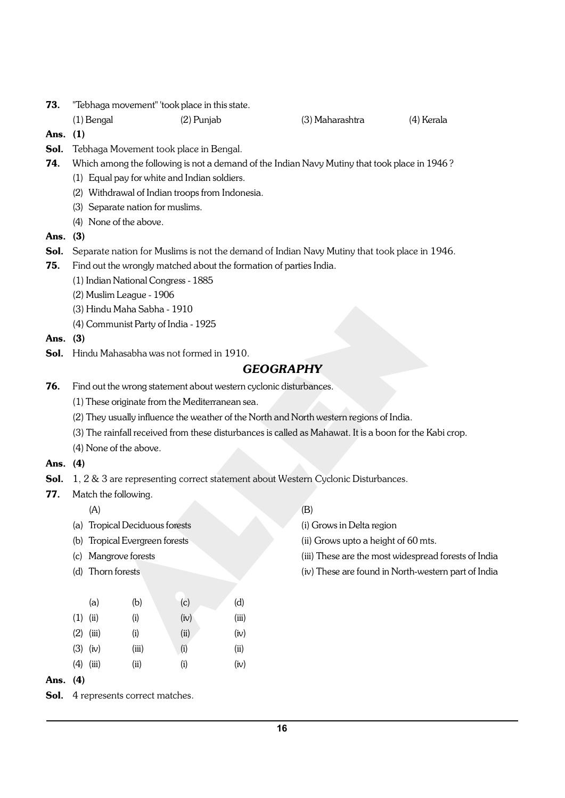- **73.** "Tebhaga movement" 'took place in this state.
	- (1) Bengal (2) Punjab (3) Maharashtra (4) Kerala

- Ans. (1)
- **Sol.** Tebhaga Movement took place in Bengal.
- 74. Which among the following is not a demand of the Indian Navy Mutiny that took place in 1946 ?
	- (1) Equal pay for white and Indian soldiers.
	- (2) Withdrawal of Indian troops from Indonesia.
	- (3) Separate nation for muslims.
	- (4) None of the above.
- Ans. (3)
- Sol. Separate nation for Muslims is not the demand of Indian Navy Mutiny that took place in 1946.
- 75. Find out the wrongly matched about the formation of parties India.
	- (1) Indian National Congress 1885
	- (2) Muslim League 1906
	- (3) Hindu Maha Sabha 1910
	- (4) Communist Party of India 1925
- Ans. (3)
- Sol. Hindu Mahasabha was not formed in 1910.

## *GEOGRAPHY*

- **76.** Find out the wrong statement about western cyclonic disturbances.
	- (1) These originate from the Mediterranean sea.
	- (2) They usually influence the weather of the North and North western regions of India.
	- (3) The rainfall received from these disturbances is called as Mahawat. It is a boon for the Kabi crop.
	- (4) None of the above.

### Ans. (4)

- Sol. 1, 2 & 3 are representing correct statement about Western Cyclonic Disturbances.
- 77. Match the following.
	-
	- (a) Tropical Deciduous forests (i) Grows in Delta region
	-
	-
	-

| Ans. | (4)        |             |       |      |       |
|------|------------|-------------|-------|------|-------|
|      |            | $(4)$ (iii) | (ii)  | (i)  | (iv)  |
|      |            | $(3)$ (iv)  | (iii) | (i)  | (ii)  |
|      |            | $(2)$ (iii) | (i)   | (ii) | (iv)  |
|      | $(1)$ (ii) |             | (i)   | (iv) | (iii) |
|      |            | (a)         | (b)   | (c)  | (d)   |
|      |            |             |       |      |       |

Sol. 4 represents correct matches.

- $(A)$  (B)
	-
- (b) Tropical Evergreen forests (ii) Grows upto a height of 60 mts.
- (c) Mangrove forests (iii) These are the most widespread forests of India
- (d) Thorn forests (iv) These are found in North-western part of India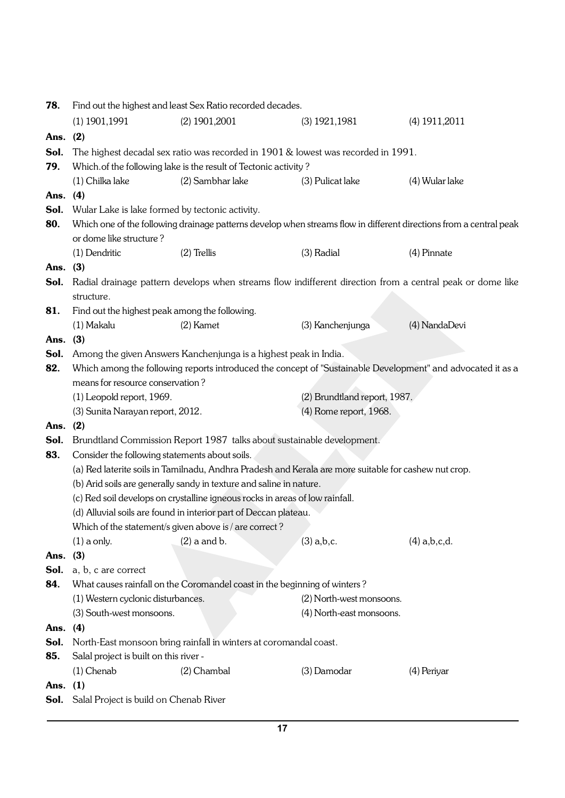| 78.        | Find out the highest and least Sex Ratio recorded decades.                                                         |                                                                                                                                                     |                                                                                                       |                                                                                                             |  |  |
|------------|--------------------------------------------------------------------------------------------------------------------|-----------------------------------------------------------------------------------------------------------------------------------------------------|-------------------------------------------------------------------------------------------------------|-------------------------------------------------------------------------------------------------------------|--|--|
|            | $(1)$ 1901, 1991                                                                                                   | $(2)$ 1901, 2001                                                                                                                                    | $(3)$ 1921, 1981                                                                                      | $(4)$ 1911, 2011                                                                                            |  |  |
| Ans.       | (2)                                                                                                                |                                                                                                                                                     |                                                                                                       |                                                                                                             |  |  |
| Sol.       |                                                                                                                    |                                                                                                                                                     | The highest decadal sex ratio was recorded in 1901 & lowest was recorded in 1991.                     |                                                                                                             |  |  |
| 79.        |                                                                                                                    | Which of the following lake is the result of Tectonic activity?                                                                                     |                                                                                                       |                                                                                                             |  |  |
|            | (1) Chilka lake                                                                                                    | (2) Sambhar lake                                                                                                                                    | (3) Pulicat lake                                                                                      | (4) Wular lake                                                                                              |  |  |
| Ans.       | (4)                                                                                                                |                                                                                                                                                     |                                                                                                       |                                                                                                             |  |  |
| Sol.       |                                                                                                                    | Wular Lake is lake formed by tectonic activity.                                                                                                     |                                                                                                       |                                                                                                             |  |  |
| 80.        | Which one of the following drainage patterns develop when streams flow in different directions from a central peak |                                                                                                                                                     |                                                                                                       |                                                                                                             |  |  |
|            | or dome like structure?                                                                                            |                                                                                                                                                     |                                                                                                       |                                                                                                             |  |  |
|            | (1) Dendritic                                                                                                      | $(2)$ Trellis                                                                                                                                       | (3) Radial                                                                                            | (4) Pinnate                                                                                                 |  |  |
| Ans.       | (3)                                                                                                                |                                                                                                                                                     |                                                                                                       |                                                                                                             |  |  |
| Sol.       | structure.                                                                                                         |                                                                                                                                                     |                                                                                                       | Radial drainage pattern develops when streams flow indifferent direction from a central peak or dome like   |  |  |
| 81.        |                                                                                                                    | Find out the highest peak among the following.                                                                                                      |                                                                                                       |                                                                                                             |  |  |
|            | (1) Makalu                                                                                                         | $(2)$ Kamet                                                                                                                                         | (3) Kanchenjunga                                                                                      | (4) NandaDevi                                                                                               |  |  |
| Ans.       | (3)                                                                                                                |                                                                                                                                                     |                                                                                                       |                                                                                                             |  |  |
| Sol.       |                                                                                                                    | Among the given Answers Kanchenjunga is a highest peak in India.                                                                                    |                                                                                                       |                                                                                                             |  |  |
| 82.        |                                                                                                                    |                                                                                                                                                     |                                                                                                       | Which among the following reports introduced the concept of "Sustainable Development" and advocated it as a |  |  |
|            | means for resource conservation?                                                                                   |                                                                                                                                                     |                                                                                                       |                                                                                                             |  |  |
|            | (1) Leopold report, 1969.                                                                                          |                                                                                                                                                     |                                                                                                       | (2) Brundtland report, 1987.                                                                                |  |  |
|            | (3) Sunita Narayan report, 2012.                                                                                   |                                                                                                                                                     | (4) Rome report, 1968.                                                                                |                                                                                                             |  |  |
| Ans.       | (2)                                                                                                                |                                                                                                                                                     |                                                                                                       |                                                                                                             |  |  |
| Sol.       |                                                                                                                    |                                                                                                                                                     | Brundtland Commission Report 1987 talks about sustainable development.                                |                                                                                                             |  |  |
| 83.        |                                                                                                                    | Consider the following statements about soils.                                                                                                      |                                                                                                       |                                                                                                             |  |  |
|            |                                                                                                                    |                                                                                                                                                     | (a) Red laterite soils in Tamilnadu, Andhra Pradesh and Kerala are more suitable for cashew nut crop. |                                                                                                             |  |  |
|            |                                                                                                                    | (b) Arid soils are generally sandy in texture and saline in nature.<br>(c) Red soil develops on crystalline igneous rocks in areas of low rainfall. |                                                                                                       |                                                                                                             |  |  |
|            |                                                                                                                    | (d) Alluvial soils are found in interior part of Deccan plateau.                                                                                    |                                                                                                       |                                                                                                             |  |  |
|            |                                                                                                                    | Which of the statement/s given above is / are correct?                                                                                              |                                                                                                       |                                                                                                             |  |  |
|            | $(1)$ a only.                                                                                                      | $(2)$ a and b.                                                                                                                                      | $(3)$ a,b,c.                                                                                          | $(4)$ a,b,c,d.                                                                                              |  |  |
| Ans. (3)   |                                                                                                                    |                                                                                                                                                     |                                                                                                       |                                                                                                             |  |  |
| Sol.       | a, b, c are correct                                                                                                |                                                                                                                                                     |                                                                                                       |                                                                                                             |  |  |
| 84.        |                                                                                                                    | What causes rainfall on the Coromandel coast in the beginning of winters?                                                                           |                                                                                                       |                                                                                                             |  |  |
|            | (1) Western cyclonic disturbances.                                                                                 |                                                                                                                                                     | (2) North-west monsoons.                                                                              |                                                                                                             |  |  |
|            | (3) South-west monsoons.                                                                                           |                                                                                                                                                     | (4) North-east monsoons.                                                                              |                                                                                                             |  |  |
| Ans.       | (4)                                                                                                                |                                                                                                                                                     |                                                                                                       |                                                                                                             |  |  |
| Sol.       |                                                                                                                    | North-East monsoon bring rainfall in winters at coromandal coast.                                                                                   |                                                                                                       |                                                                                                             |  |  |
| 85.        | Salal project is built on this river -                                                                             |                                                                                                                                                     |                                                                                                       |                                                                                                             |  |  |
|            | $(1)$ Chenab                                                                                                       | $(2)$ Chambal                                                                                                                                       | (3) Damodar                                                                                           | (4) Periyar                                                                                                 |  |  |
| Ans. $(1)$ |                                                                                                                    |                                                                                                                                                     |                                                                                                       |                                                                                                             |  |  |
| Sol.       | Salal Project is build on Chenab River                                                                             |                                                                                                                                                     |                                                                                                       |                                                                                                             |  |  |
|            |                                                                                                                    |                                                                                                                                                     |                                                                                                       |                                                                                                             |  |  |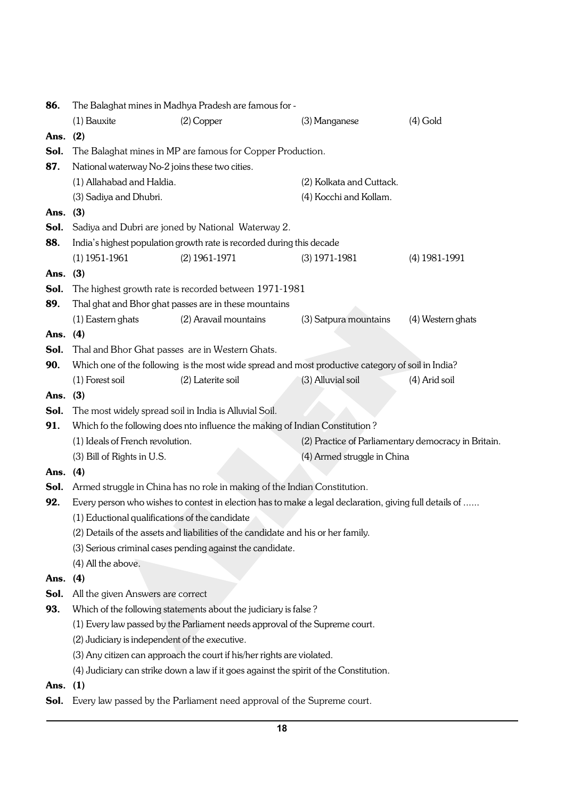| 86.        | The Balaghat mines in Madhya Pradesh are famous for -      |                                                                                        |                                                                                                        |                                                     |  |  |
|------------|------------------------------------------------------------|----------------------------------------------------------------------------------------|--------------------------------------------------------------------------------------------------------|-----------------------------------------------------|--|--|
|            | (1) Bauxite                                                | $(2)$ Copper                                                                           | (3) Manganese                                                                                          | $(4)$ Gold                                          |  |  |
| Ans.       | (2)                                                        |                                                                                        |                                                                                                        |                                                     |  |  |
| Sol.       | The Balaghat mines in MP are famous for Copper Production. |                                                                                        |                                                                                                        |                                                     |  |  |
| 87.        | National waterway No-2 joins these two cities.             |                                                                                        |                                                                                                        |                                                     |  |  |
|            | (1) Allahabad and Haldia.                                  |                                                                                        | (2) Kolkata and Cuttack.                                                                               |                                                     |  |  |
|            | (3) Sadiya and Dhubri.                                     |                                                                                        | (4) Kocchi and Kollam.                                                                                 |                                                     |  |  |
| Ans. (3)   |                                                            |                                                                                        |                                                                                                        |                                                     |  |  |
| Sol.       | Sadiya and Dubri are joned by National Waterway 2.         |                                                                                        |                                                                                                        |                                                     |  |  |
| 88.        |                                                            | India's highest population growth rate is recorded during this decade                  |                                                                                                        |                                                     |  |  |
|            | $(1)$ 1951-1961                                            | $(2)$ 1961-1971                                                                        | $(3)$ 1971-1981                                                                                        | $(4)$ 1981-1991                                     |  |  |
| Ans.       | (3)                                                        |                                                                                        |                                                                                                        |                                                     |  |  |
| Sol.       |                                                            | The highest growth rate is recorded between 1971-1981                                  |                                                                                                        |                                                     |  |  |
| 89.        |                                                            | Thal ghat and Bhor ghat passes are in these mountains                                  |                                                                                                        |                                                     |  |  |
|            | (1) Eastern ghats                                          | (2) Aravail mountains                                                                  | (3) Satpura mountains                                                                                  | (4) Western ghats                                   |  |  |
| Ans. $(4)$ |                                                            |                                                                                        |                                                                                                        |                                                     |  |  |
| Sol.       |                                                            | Thal and Bhor Ghat passes are in Western Ghats.                                        |                                                                                                        |                                                     |  |  |
| 90.        |                                                            |                                                                                        | Which one of the following is the most wide spread and most productive category of soil in India?      |                                                     |  |  |
|            | (1) Forest soil                                            | (2) Laterite soil                                                                      | (3) Alluvial soil                                                                                      | (4) Arid soil                                       |  |  |
| Ans.       | (3)                                                        |                                                                                        |                                                                                                        |                                                     |  |  |
| Sol.       |                                                            | The most widely spread soil in India is Alluvial Soil.                                 |                                                                                                        |                                                     |  |  |
| 91.        |                                                            | Which fo the following does nto influence the making of Indian Constitution?           |                                                                                                        |                                                     |  |  |
|            | (1) Ideals of French revolution.                           |                                                                                        |                                                                                                        | (2) Practice of Parliamentary democracy in Britain. |  |  |
|            | (3) Bill of Rights in U.S.                                 |                                                                                        | (4) Armed struggle in China                                                                            |                                                     |  |  |
| Ans. $(4)$ |                                                            |                                                                                        |                                                                                                        |                                                     |  |  |
| Sol.       |                                                            | Armed struggle in China has no role in making of the Indian Constitution.              |                                                                                                        |                                                     |  |  |
| 92.        |                                                            |                                                                                        | Every person who wishes to contest in election has to make a legal declaration, giving full details of |                                                     |  |  |
|            | (1) Eductional qualifications of the candidate             |                                                                                        |                                                                                                        |                                                     |  |  |
|            |                                                            | (2) Details of the assets and liabilities of the candidate and his or her family.      |                                                                                                        |                                                     |  |  |
|            |                                                            | (3) Serious criminal cases pending against the candidate.                              |                                                                                                        |                                                     |  |  |
|            | (4) All the above.                                         |                                                                                        |                                                                                                        |                                                     |  |  |
| Ans.       | (4)                                                        |                                                                                        |                                                                                                        |                                                     |  |  |
| Sol.       | All the given Answers are correct                          |                                                                                        |                                                                                                        |                                                     |  |  |
| 93.        |                                                            | Which of the following statements about the judiciary is false?                        |                                                                                                        |                                                     |  |  |
|            |                                                            | (1) Every law passed by the Parliament needs approval of the Supreme court.            |                                                                                                        |                                                     |  |  |
|            | (2) Judiciary is independent of the executive.             |                                                                                        |                                                                                                        |                                                     |  |  |
|            |                                                            | (3) Any citizen can approach the court if his/her rights are violated.                 |                                                                                                        |                                                     |  |  |
|            |                                                            | (4) Judiciary can strike down a law if it goes against the spirit of the Constitution. |                                                                                                        |                                                     |  |  |
| Ans.       | (1)                                                        |                                                                                        |                                                                                                        |                                                     |  |  |
| Sol.       |                                                            | Every law passed by the Parliament need approval of the Supreme court.                 |                                                                                                        |                                                     |  |  |